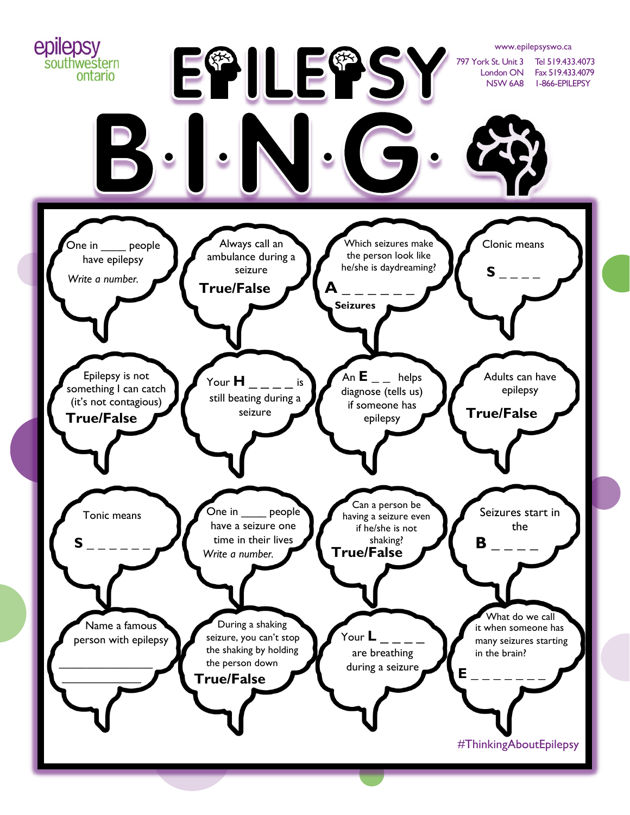